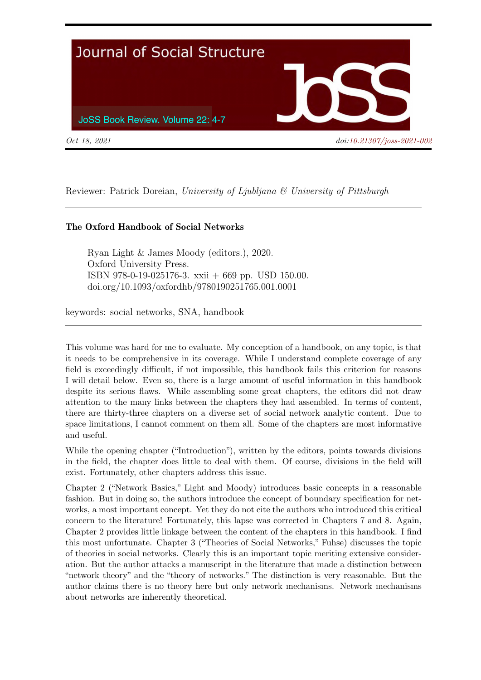

Reviewer: Patrick Doreian, University of Ljubljana & University of Pittsburgh

## The Oxford Handbook of Social Networks

Ryan Light & James Moody (editors.), 2020. Oxford University Press. ISBN 978-0-19-025176-3. xxii + 669 pp. USD 150.00. doi.org/10.1093/oxfordhb/9780190251765.001.0001

keywords: social networks, SNA, handbook

This volume was hard for me to evaluate. My conception of a handbook, on any topic, is that it needs to be comprehensive in its coverage. While I understand complete coverage of any field is exceedingly difficult, if not impossible, this handbook fails this criterion for reasons I will detail below. Even so, there is a large amount of useful information in this handbook despite its serious flaws. While assembling some great chapters, the editors did not draw attention to the many links between the chapters they had assembled. In terms of content, there are thirty-three chapters on a diverse set of social network analytic content. Due to space limitations, I cannot comment on them all. Some of the chapters are most informative and useful.

While the opening chapter ("Introduction"), written by the editors, points towards divisions in the field, the chapter does little to deal with them. Of course, divisions in the field will exist. Fortunately, other chapters address this issue.

Chapter 2 ("Network Basics," Light and Moody) introduces basic concepts in a reasonable fashion. But in doing so, the authors introduce the concept of boundary specification for networks, a most important concept. Yet they do not cite the authors who introduced this critical concern to the literature! Fortunately, this lapse was corrected in Chapters 7 and 8. Again, Chapter 2 provides little linkage between the content of the chapters in this handbook. I find this most unfortunate. Chapter 3 ("Theories of Social Networks," Fuhse) discusses the topic of theories in social networks. Clearly this is an important topic meriting extensive consideration. But the author attacks a manuscript in the literature that made a distinction between "network theory" and the "theory of networks." The distinction is very reasonable. But the author claims there is no theory here but only network mechanisms. Network mechanisms about networks are inherently theoretical.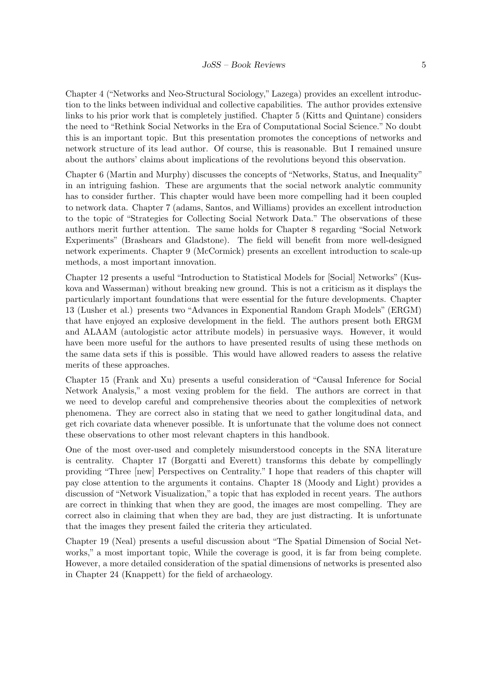Chapter 4 ("Networks and Neo-Structural Sociology," Lazega) provides an excellent introduction to the links between individual and collective capabilities. The author provides extensive links to his prior work that is completely justified. Chapter 5 (Kitts and Quintane) considers the need to "Rethink Social Networks in the Era of Computational Social Science." No doubt this is an important topic. But this presentation promotes the conceptions of networks and network structure of its lead author. Of course, this is reasonable. But I remained unsure about the authors' claims about implications of the revolutions beyond this observation.

Chapter 6 (Martin and Murphy) discusses the concepts of "Networks, Status, and Inequality" in an intriguing fashion. These are arguments that the social network analytic community has to consider further. This chapter would have been more compelling had it been coupled to network data. Chapter 7 (adams, Santos, and Williams) provides an excellent introduction to the topic of "Strategies for Collecting Social Network Data." The observations of these authors merit further attention. The same holds for Chapter 8 regarding "Social Network Experiments" (Brashears and Gladstone). The field will benefit from more well-designed network experiments. Chapter 9 (McCormick) presents an excellent introduction to scale-up methods, a most important innovation.

Chapter 12 presents a useful "Introduction to Statistical Models for [Social] Networks" (Kuskova and Wasserman) without breaking new ground. This is not a criticism as it displays the particularly important foundations that were essential for the future developments. Chapter 13 (Lusher et al.) presents two "Advances in Exponential Random Graph Models" (ERGM) that have enjoyed an explosive development in the field. The authors present both ERGM and ALAAM (autologistic actor attribute models) in persuasive ways. However, it would have been more useful for the authors to have presented results of using these methods on the same data sets if this is possible. This would have allowed readers to assess the relative merits of these approaches.

Chapter 15 (Frank and Xu) presents a useful consideration of "Causal Inference for Social Network Analysis," a most vexing problem for the field. The authors are correct in that we need to develop careful and comprehensive theories about the complexities of network phenomena. They are correct also in stating that we need to gather longitudinal data, and get rich covariate data whenever possible. It is unfortunate that the volume does not connect these observations to other most relevant chapters in this handbook.

One of the most over-used and completely misunderstood concepts in the SNA literature is centrality. Chapter 17 (Borgatti and Everett) transforms this debate by compellingly providing "Three [new] Perspectives on Centrality." I hope that readers of this chapter will pay close attention to the arguments it contains. Chapter 18 (Moody and Light) provides a discussion of "Network Visualization," a topic that has exploded in recent years. The authors are correct in thinking that when they are good, the images are most compelling. They are correct also in claiming that when they are bad, they are just distracting. It is unfortunate that the images they present failed the criteria they articulated.

Chapter 19 (Neal) presents a useful discussion about "The Spatial Dimension of Social Networks," a most important topic, While the coverage is good, it is far from being complete. However, a more detailed consideration of the spatial dimensions of networks is presented also in Chapter 24 (Knappett) for the field of archaeology.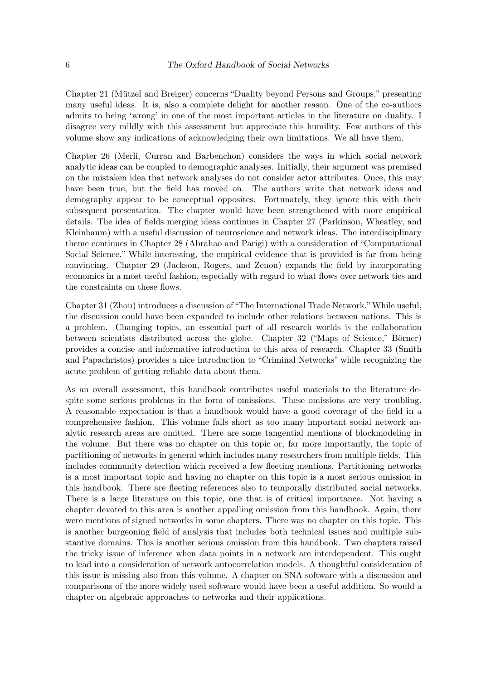Chapter 21 (Mützel and Breiger) concerns "Duality beyond Persons and Groups," presenting many useful ideas. It is, also a complete delight for another reason. One of the co-authors admits to being 'wrong' in one of the most important articles in the literature on duality. I disagree very mildly with this assessment but appreciate this humility. Few authors of this volume show any indications of acknowledging their own limitations. We all have them.

Chapter 26 (Merli, Curran and Barbenchon) considers the ways in which social network analytic ideas can be coupled to demographic analyses. Initially, their argument was premised on the mistaken idea that network analyses do not consider actor attributes. Once, this may have been true, but the field has moved on. The authors write that network ideas and demography appear to be conceptual opposites. Fortunately, they ignore this with their subsequent presentation. The chapter would have been strengthened with more empirical details. The idea of fields merging ideas continues in Chapter 27 (Parkinson, Wheatley, and Kleinbaum) with a useful discussion of neuroscience and network ideas. The interdisciplinary theme continues in Chapter 28 (Abrahao and Parigi) with a consideration of "Computational Social Science." While interesting, the empirical evidence that is provided is far from being convincing. Chapter 29 (Jackson, Rogers, and Zenou) expands the field by incorporating economics in a most useful fashion, especially with regard to what flows over network ties and the constraints on these flows.

Chapter 31 (Zhou) introduces a discussion of "The International Trade Network."While useful, the discussion could have been expanded to include other relations between nations. This is a problem. Changing topics, an essential part of all research worlds is the collaboration between scientists distributed across the globe. Chapter 32 ("Maps of Science," Börner) provides a concise and informative introduction to this area of research. Chapter 33 (Smith and Papachristos) provides a nice introduction to "Criminal Networks" while recognizing the acute problem of getting reliable data about them.

As an overall assessment, this handbook contributes useful materials to the literature despite some serious problems in the form of omissions. These omissions are very troubling. A reasonable expectation is that a handbook would have a good coverage of the field in a comprehensive fashion. This volume falls short as too many important social network analytic research areas are omitted. There are some tangential mentions of blockmodeling in the volume. But there was no chapter on this topic or, far more importantly, the topic of partitioning of networks in general which includes many researchers from multiple fields. This includes community detection which received a few fleeting mentions. Partitioning networks is a most important topic and having no chapter on this topic is a most serious omission in this handbook. There are fleeting references also to temporally distributed social networks. There is a large literature on this topic, one that is of critical importance. Not having a chapter devoted to this area is another appalling omission from this handbook. Again, there were mentions of signed networks in some chapters. There was no chapter on this topic. This is another burgeoning field of analysis that includes both technical issues and multiple substantive domains. This is another serious omission from this handbook. Two chapters raised the tricky issue of inference when data points in a network are interdependent. This ought to lead into a consideration of network autocorrelation models. A thoughtful consideration of this issue is missing also from this volume. A chapter on SNA software with a discussion and comparisons of the more widely used software would have been a useful addition. So would a chapter on algebraic approaches to networks and their applications.